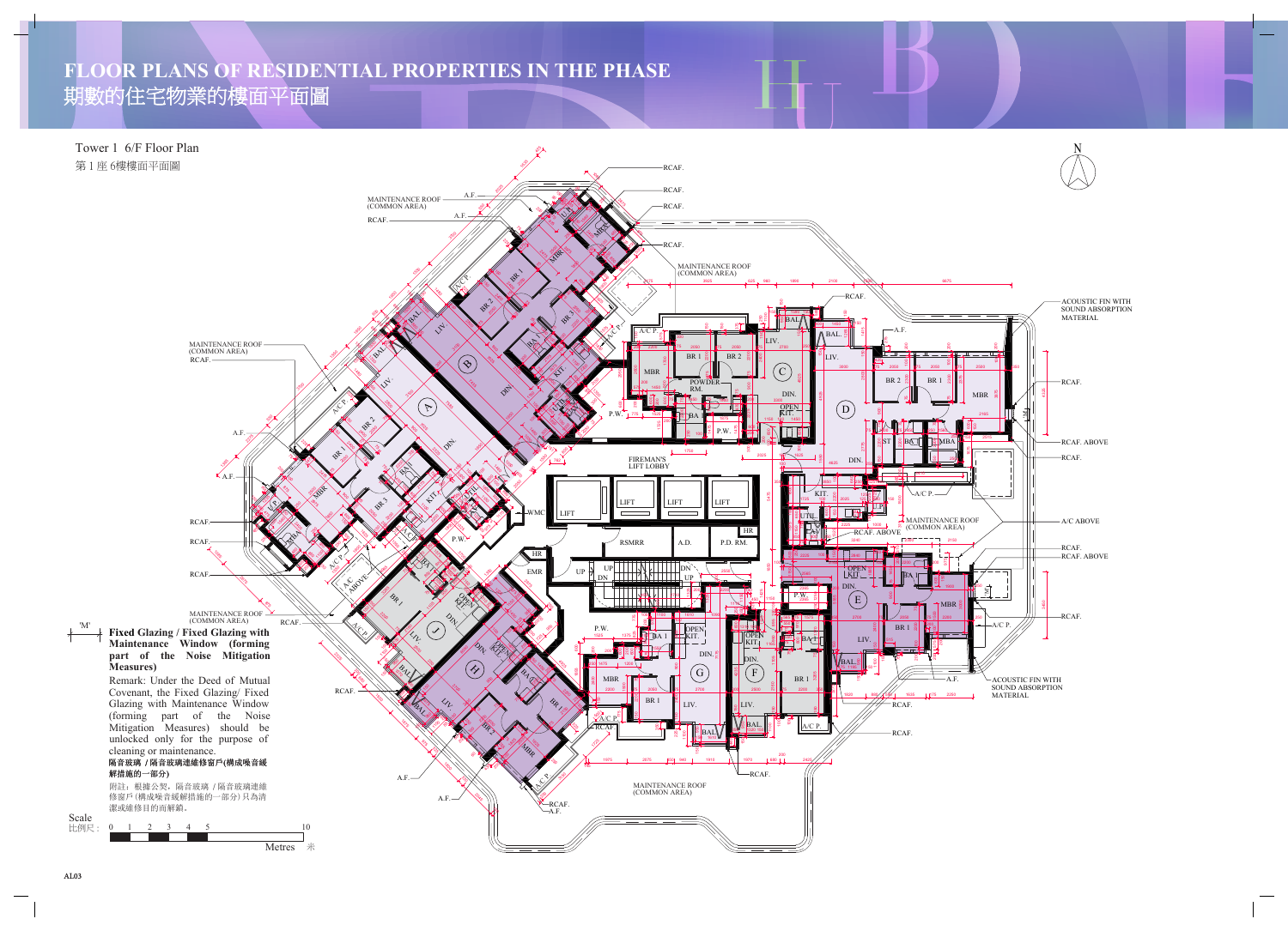## **FLOOR PLANS OF RESIDENTIAL PROPERTIES IN THE PHASE** 期數的住宅物業的樓面平面圖

Tower 1 6/F Floor Plan 第 1 座 6樓樓面平面圖

Scale 比例尺:





'M'